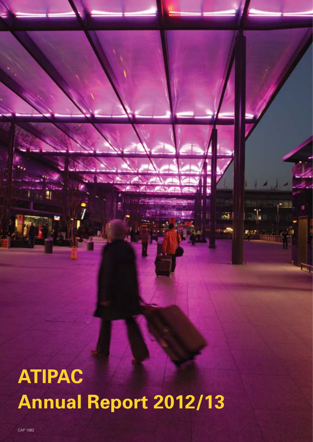**ATIPAC Annual Report 2012/13**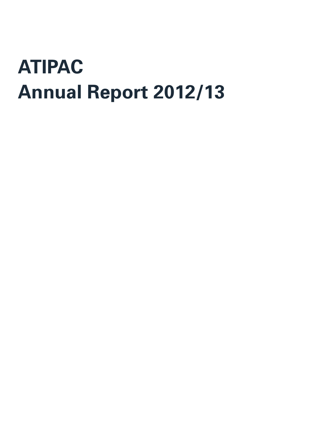# **ATIPAC Annual Report 2012/13**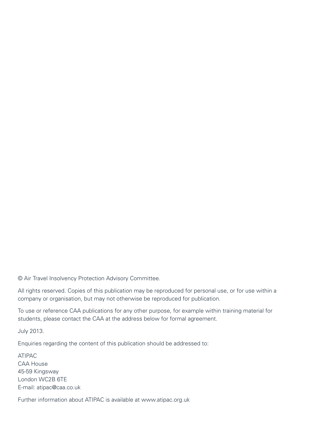© Air Travel Insolvency Protection Advisory Committee.

All rights reserved. Copies of this publication may be reproduced for personal use, or for use within a company or organisation, but may not otherwise be reproduced for publication.

To use or reference CAA publications for any other purpose, for example within training material for students, please contact the CAA at the address below for formal agreement.

July 2013.

Enquiries regarding the content of this publication should be addressed to:

ATIPAC CAA House 45-59 Kingsway London WC2B 6TE E-mail: atipac@caa.co.uk

Further information about ATIPAC is available at www.atipac.org.uk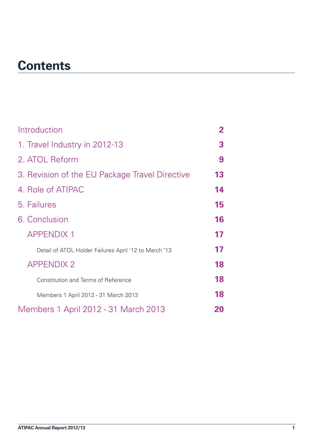### **Contents**

| Introduction                                          | $\mathbf{2}$ |
|-------------------------------------------------------|--------------|
| 1. Travel Industry in 2012-13                         | 3            |
| 2. ATOL Reform                                        | 9            |
| 3. Revision of the EU Package Travel Directive        | 13           |
| 4. Role of ATIPAC                                     | 14           |
| 5. Failures                                           | 15           |
| 6. Conclusion                                         | 16           |
| <b>APPENDIX 1</b>                                     | 17           |
| Detail of ATOL Holder Failures April '12 to March '13 | 17           |
| <b>APPENDIX 2</b>                                     | 18           |
| <b>Constitution and Terms of Reference</b>            | 18           |
| Members 1 April 2012 - 31 March 2013                  | 18           |
| Members 1 April 2012 - 31 March 2013                  | 20           |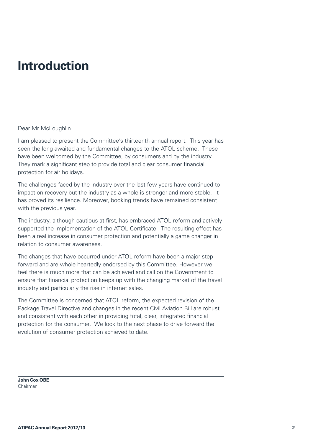### <span id="page-6-0"></span>**Introduction**

#### Dear Mr McLoughlin

I am pleased to present the Committee's thirteenth annual report. This year has seen the long awaited and fundamental changes to the ATOL scheme. These have been welcomed by the Committee, by consumers and by the industry. They mark a significant step to provide total and clear consumer financial protection for air holidays.

The challenges faced by the industry over the last few years have continued to impact on recovery but the industry as a whole is stronger and more stable. It has proved its resilience. Moreover, booking trends have remained consistent with the previous year.

The industry, although cautious at first, has embraced ATOL reform and actively supported the implementation of the ATOL Certificate. The resulting effect has been a real increase in consumer protection and potentially a game changer in relation to consumer awareness.

The changes that have occurred under ATOL reform have been a major step forward and are whole heartedly endorsed by this Committee. However we feel there is much more that can be achieved and call on the Government to ensure that financial protection keeps up with the changing market of the travel industry and particularly the rise in internet sales.

The Committee is concerned that ATOL reform, the expected revision of the Package Travel Directive and changes in the recent Civil Aviation Bill are robust and consistent with each other in providing total, clear, integrated financial protection for the consumer. We look to the next phase to drive forward the evolution of consumer protection achieved to date.

**John Cox OBE** Chairman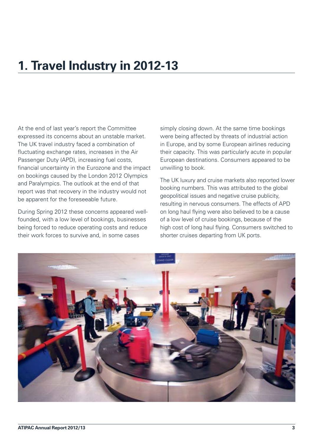### <span id="page-7-0"></span>**1. Travel Industry in 2012-13**

At the end of last year's report the Committee expressed its concerns about an unstable market. The UK travel industry faced a combination of fluctuating exchange rates, increases in the Air Passenger Duty (APD), increasing fuel costs, financial uncertainty in the Eurozone and the impact on bookings caused by the London 2012 Olympics and Paralympics. The outlook at the end of that report was that recovery in the industry would not be apparent for the foreseeable future.

During Spring 2012 these concerns appeared wellfounded, with a low level of bookings, businesses being forced to reduce operating costs and reduce their work forces to survive and, in some cases

simply closing down. At the same time bookings were being affected by threats of industrial action in Europe, and by some European airlines reducing their capacity. This was particularly acute in popular European destinations. Consumers appeared to be unwilling to book.

The UK luxury and cruise markets also reported lower booking numbers. This was attributed to the global geopolitical issues and negative cruise publicity, resulting in nervous consumers. The effects of APD on long haul flying were also believed to be a cause of a low level of cruise bookings, because of the high cost of long haul flying. Consumers switched to shorter cruises departing from UK ports.

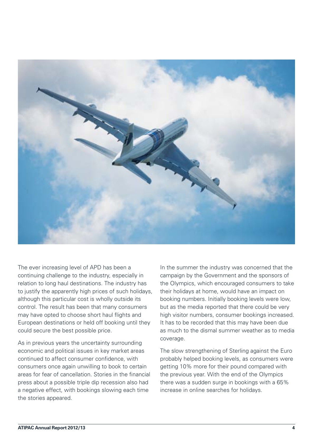

The ever increasing level of APD has been a continuing challenge to the industry, especially in relation to long haul destinations. The industry has to justify the apparently high prices of such holidays, although this particular cost is wholly outside its control. The result has been that many consumers may have opted to choose short haul flights and European destinations or held off booking until they could secure the best possible price.

As in previous years the uncertainty surrounding economic and political issues in key market areas continued to affect consumer confidence, with consumers once again unwilling to book to certain areas for fear of cancellation. Stories in the financial press about a possible triple dip recession also had a negative effect, with bookings slowing each time the stories appeared.

In the summer the industry was concerned that the campaign by the Government and the sponsors of the Olympics, which encouraged consumers to take their holidays at home, would have an impact on booking numbers. Initially booking levels were low, but as the media reported that there could be very high visitor numbers, consumer bookings increased. It has to be recorded that this may have been due as much to the dismal summer weather as to media coverage.

The slow strengthening of Sterling against the Euro probably helped booking levels, as consumers were getting 10% more for their pound compared with the previous year. With the end of the Olympics there was a sudden surge in bookings with a 65% increase in online searches for holidays.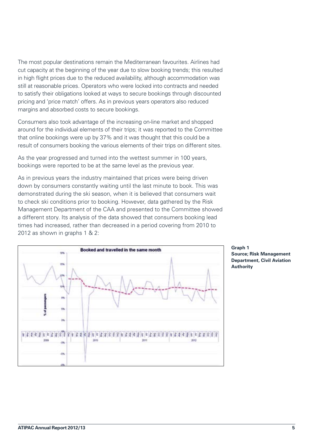The most popular destinations remain the Mediterranean favourites. Airlines had cut capacity at the beginning of the year due to slow booking trends; this resulted in high flight prices due to the reduced availability, although accommodation was still at reasonable prices. Operators who were locked into contracts and needed to satisfy their obligations looked at ways to secure bookings through discounted pricing and 'price match' offers. As in previous years operators also reduced margins and absorbed costs to secure bookings.

Consumers also took advantage of the increasing on-line market and shopped around for the individual elements of their trips; it was reported to the Committee that online bookings were up by 37% and it was thought that this could be a result of consumers booking the various elements of their trips on different sites.

As the year progressed and turned into the wettest summer in 100 years, bookings were reported to be at the same level as the previous year.

As in previous years the industry maintained that prices were being driven down by consumers constantly waiting until the last minute to book. This was demonstrated during the ski season, when it is believed that consumers wait to check ski conditions prior to booking. However, data gathered by the Risk Management Department of the CAA and presented to the Committee showed a different story. Its analysis of the data showed that consumers booking lead times had increased, rather than decreased in a period covering from 2010 to 2012 as shown in graphs 1 & 2:



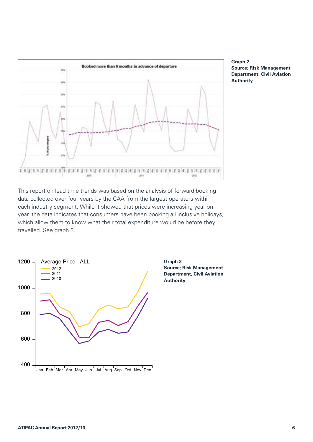

**Graph 2 Source; Risk Management Department, Civil Aviation Authority**

This report on lead time trends was based on the analysis of forward booking data collected over four years by the CAA from the largest operators within each industry segment. While it showed that prices were increasing year on year, the data indicates that consumers have been booking all inclusive holidays, which allow them to know what their total expenditure would be before they travelled. See graph 3.



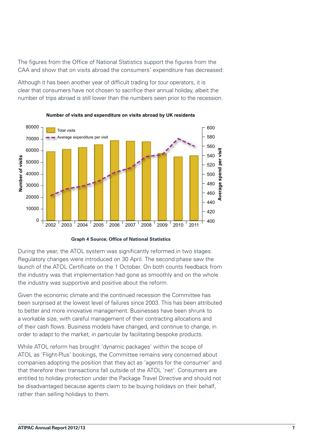The figures from the Office of National Statistics support the figures from the CAA and show that on visits abroad the consumers' expenditure has decreased:

Although it has been another year of difficult trading for tour operators, it is clear that consumers have not chosen to sacrifice their annual holiday, albeit the number of trips abroad is still lower than the numbers seen prior to the recession.



**Number of visits and expenditure on visits abroad by UK residents**

**Graph 4 Source; Office of National Statistics**

During the year, the ATOL system was significantly reformed in two stages. Regulatory changes were introduced on 30 April. The second phase saw the launch of the ATOL Certificate on the 1 October. On both counts feedback from the industry was that implementation had gone as smoothly and on the whole the industry was supportive and positive about the reform.

Given the economic climate and the continued recession the Committee has been surprised at the lowest level of failures since 2003. This has been attributed to better and more innovative management. Businesses have been shrunk to a workable size, with careful management of their contracting allocations and of their cash flows. Business models have changed, and continue to change, in order to adapt to the market, in particular by facilitating bespoke products.

While ATOL reform has brought 'dynamic packages' within the scope of ATOL as 'Flight-Plus' bookings, the Committee remains very concerned about companies adopting the position that they act as 'agents for the consumer' and that therefore their transactions fall outside of the ATOL 'net'. Consumers are entitled to holiday protection under the Package Travel Directive and should not be disadvantaged because agents claim to be buying holidays on their behalf, rather than selling holidays to them.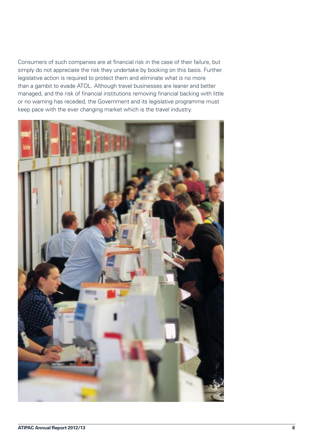Consumers of such companies are at financial risk in the case of their failure, but simply do not appreciate the risk they undertake by booking on this basis. Further legislative action is required to protect them and eliminate what is no more than a gambit to evade ATOL. Although travel businesses are leaner and better managed, and the risk of financial institutions removing financial backing with little or no warning has receded, the Government and its legislative programme must keep pace with the ever changing market which is the travel industry.

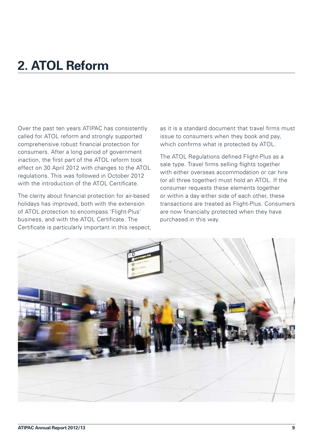### <span id="page-13-0"></span>**2. ATOL Reform**

Over the past ten years ATIPAC has consistently called for ATOL reform and strongly supported comprehensive robust financial protection for consumers. After a long period of government inaction, the first part of the ATOL reform took effect on 30 April 2012 with changes to the ATOL regulations. This was followed in October 2012 with the introduction of the ATOL Certificate.

The clarity about financial protection for air-based holidays has improved, both with the extension of ATOL protection to encompass 'Flight-Plus' business, and with the ATOL Certificate. The Certificate is particularly important in this respect, as it is a standard document that travel firms must issue to consumers when they book and pay, which confirms what is protected by ATOL.

The ATOL Regulations defined Flight-Plus as a sale type. Travel firms selling flights together with either overseas accommodation or car hire (or all three together) must hold an ATOL. If the consumer requests these elements together or within a day either side of each other, these transactions are treated as Flight-Plus. Consumers are now financially protected when they have purchased in this way.

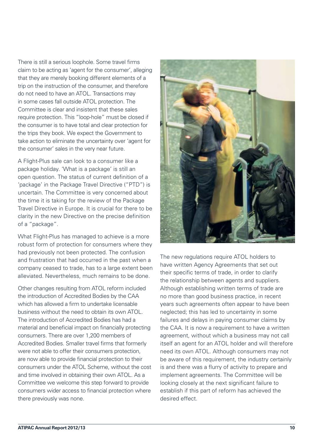There is still a serious loophole. Some travel firms claim to be acting as 'agent for the consumer', alleging that they are merely booking different elements of a trip on the instruction of the consumer, and therefore do not need to have an ATOL. Transactions may in some cases fall outside ATOL protection. The Committee is clear and insistent that these sales require protection. This "loop-hole" must be closed if the consumer is to have total and clear protection for the trips they book. We expect the Government to take action to eliminate the uncertainty over 'agent for the consumer' sales in the very near future.

A Flight-Plus sale can look to a consumer like a package holiday. 'What is a package' is still an open question. The status of current definition of a 'package' in the Package Travel Directive ("PTD") is uncertain. The Committee is very concerned about the time it is taking for the review of the Package Travel Directive in Europe. It is crucial for there to be clarity in the new Directive on the precise definition of a "package".

What Flight-Plus has managed to achieve is a more robust form of protection for consumers where they had previously not been protected. The confusion and frustration that had occurred in the past when a company ceased to trade, has to a large extent been alleviated. Nevertheless, much remains to be done.

Other changes resulting from ATOL reform included the introduction of Accredited Bodies by the CAA which has allowed a firm to undertake licensable business without the need to obtain its own ATOL. The introduction of Accredited Bodies has had a material and beneficial impact on financially protecting consumers. There are over 1,200 members of Accredited Bodies. Smaller travel firms that formerly were not able to offer their consumers protection, are now able to provide financial protection to their consumers under the ATOL Scheme, without the cost and time involved in obtaining their own ATOL. As a Committee we welcome this step forward to provide consumers wider access to financial protection where there previously was none.



The new regulations require ATOL holders to have written Agency Agreements that set out their specific terms of trade, in order to clarify the relationship between agents and suppliers. Although establishing written terms of trade are no more than good business practice, in recent years such agreements often appear to have been neglected; this has led to uncertainty in some failures and delays in paying consumer claims by the CAA. It is now a requirement to have a written agreement, without which a business may not call itself an agent for an ATOL holder and will therefore need its own ATOL. Although consumers may not be aware of this requirement, the industry certainly is and there was a flurry of activity to prepare and implement agreements. The Committee will be looking closely at the next significant failure to establish if this part of reform has achieved the desired effect.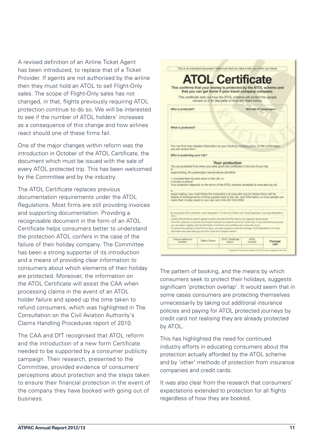A revised definition of an Airline Ticket Agent has been introduced, to replace that of a Ticket Provider. If agents are not authorised by the airline then they must hold an ATOL to sell Flight-Only sales. The scope of Flight-Only sales has not changed, in that, flights previously requiring ATOL protection continue to do so. We will be interested to see if the number of ATOL holders' increases as a consequence of this change and how airlines react should one of these firms fail.

One of the major changes within reform was the introduction in October of the ATOL Certificate, the document which must be issued with the sale of every ATOL protected trip. This has been welcomed by the Committee and by the industry.

The ATOL Certificate replaces previous documentation requirements under the ATOL Regulations. Most firms are still providing invoices and supporting documentation. Providing a recognisable document in the form of an ATOL Certificate helps consumers better to understand the protection ATOL confers in the case of the failure of their holiday company. The Committee has been a strong supporter of its introduction and a means of providing clear information to consumers about which elements of their holiday are protected. Moreover, the information on the ATOL Certificate will assist the CAA when processing claims in the event of an ATOL holder failure and speed up the time taken to refund consumers, which was highlighted in The Consultation on the Civil Aviation Authority's Claims Handling Procedures report of 2010.

The CAA and DfT recognised that ATOL reform and the introduction of a new form Certificate needed to be supported by a consumer publicity campaign. Their research, presented to the Committee, provided evidence of consumers' perceptions about protection and the steps taken to ensure their financial protection in the event of the company they have booked with going out of business.



The pattern of booking, and the means by which consumers seek to protect their holidays, suggests significant 'protection overlap'. It would seem that in some cases consumers are protecting themselves unnecessarily by taking out additional insurance policies and paying for ATOL protected journeys by credit card not realising they are already protected by ATOL.

This has highlighted the need for continued industry efforts in educating consumers about the protection actually afforded by the ATOL scheme and by 'other' methods of protection from insurance companies and credit cards.

It was also clear from the research that consumers' expectations extended to protection for all flights regardless of how they are booked.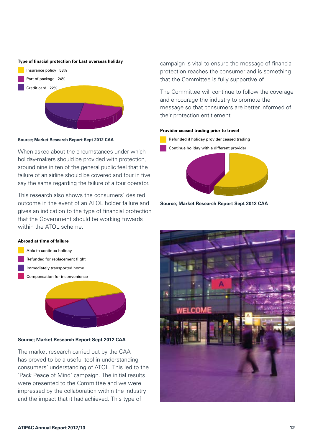#### **Type of finacial protection for Last overseas holiday**



**Source; Market Research Report Sept 2012 CAA**

When asked about the circumstances under which holiday-makers should be provided with protection, around nine in ten of the general public feel that the failure of an airline should be covered and four in five say the same regarding the failure of a tour operator.

This research also shows the consumers' desired outcome in the event of an ATOL holder failure and gives an indication to the type of financial protection that the Government should be working towards within the ATOL scheme.

#### **Abroad at time of failure**

 Able to continue holiday Refunded for replacement flight Immediately transported home Compensation for inconvenience



#### **Source; Market Research Report Sept 2012 CAA**

The market research carried out by the CAA has proved to be a useful tool in understanding consumers' understanding of ATOL. This led to the 'Pack Peace of Mind' campaign. The initial results were presented to the Committee and we were impressed by the collaboration within the industry and the impact that it had achieved. This type of

campaign is vital to ensure the message of financial protection reaches the consumer and is something that the Committee is fully supportive of.

The Committee will continue to follow the coverage and encourage the industry to promote the message so that consumers are better informed of their protection entitlement.

#### **Provider ceased trading prior to travel**



**Source; Market Research Report Sept 2012 CAA**

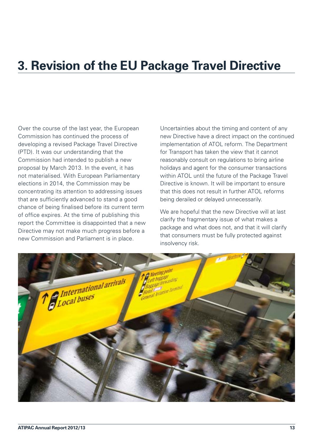### <span id="page-17-0"></span>**3. Revision of the EU Package Travel Directive**

Over the course of the last year, the European Commission has continued the process of developing a revised Package Travel Directive (PTD). It was our understanding that the Commission had intended to publish a new proposal by March 2013. In the event, it has not materialised. With European Parliamentary elections in 2014, the Commission may be concentrating its attention to addressing issues that are sufficiently advanced to stand a good chance of being finalised before its current term of office expires. At the time of publishing this report the Committee is disappointed that a new Directive may not make much progress before a new Commission and Parliament is in place.

Uncertainties about the timing and content of any new Directive have a direct impact on the continued implementation of ATOL reform. The Department for Transport has taken the view that it cannot reasonably consult on regulations to bring airline holidays and agent for the consumer transactions within ATOL until the future of the Package Travel Directive is known. It will be important to ensure that this does not result in further ATOL reforms being derailed or delayed unnecessarily.

We are hopeful that the new Directive will at last clarify the fragmentary issue of what makes a package and what does not, and that it will clarify that consumers must be fully protected against insolvency risk.

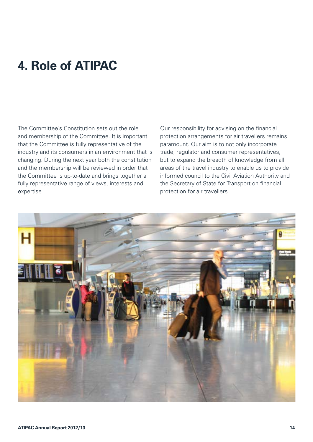### <span id="page-18-0"></span>**4. Role of ATIPAC**

The Committee's Constitution sets out the role and membership of the Committee. It is important that the Committee is fully representative of the industry and its consumers in an environment that is changing. During the next year both the constitution and the membership will be reviewed in order that the Committee is up-to-date and brings together a fully representative range of views, interests and expertise.

Our responsibility for advising on the financial protection arrangements for air travellers remains paramount. Our aim is to not only incorporate trade, regulator and consumer representatives, but to expand the breadth of knowledge from all areas of the travel industry to enable us to provide informed council to the Civil Aviation Authority and the Secretary of State for Transport on financial protection for air travellers.

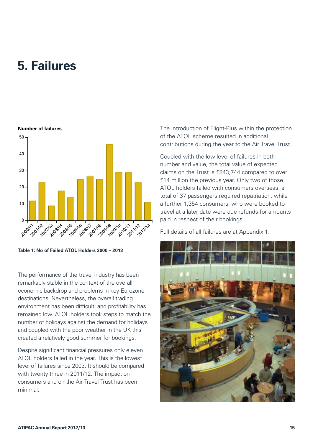### <span id="page-19-0"></span>**5. Failures**



**Table 1: No of Failed ATOL Holders 2000 – 2013**

The performance of the travel industry has been remarkably stable in the context of the overall economic backdrop and problems in key Eurozone destinations. Nevertheless, the overall trading environment has been difficult, and profitability has remained low. ATOL holders took steps to match the number of holidays against the demand for holidays and coupled with the poor weather in the UK this created a relatively good summer for bookings.

Despite significant financial pressures only eleven ATOL holders failed in the year. This is the lowest level of failures since 2003. It should be compared with twenty three in 2011/12. The impact on consumers and on the Air Travel Trust has been minimal.

The introduction of Flight-Plus within the protection of the ATOL scheme resulted in additional contributions during the year to the Air Travel Trust.

Coupled with the low level of failures in both number and value, the total value of expected claims on the Trust is £843,744 compared to over £14 million the previous year. Only two of those ATOL holders failed with consumers overseas; a total of 37 passengers required repatriation, while a further 1,354 consumers, who were booked to travel at a later date were due refunds for amounts paid in respect of their bookings.

Full details of all failures are at Appendix 1.

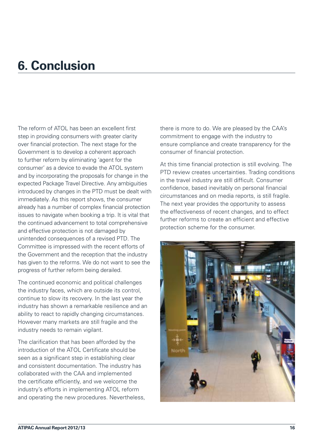### <span id="page-20-0"></span>**6. Conclusion**

The reform of ATOL has been an excellent first step in providing consumers with greater clarity over financial protection. The next stage for the Government is to develop a coherent approach to further reform by eliminating 'agent for the consumer' as a device to evade the ATOL system and by incorporating the proposals for change in the expected Package Travel Directive. Any ambiguities introduced by changes in the PTD must be dealt with immediately. As this report shows, the consumer already has a number of complex financial protection issues to navigate when booking a trip. It is vital that the continued advancement to total comprehensive and effective protection is not damaged by unintended consequences of a revised PTD. The Committee is impressed with the recent efforts of the Government and the reception that the industry has given to the reforms. We do not want to see the progress of further reform being derailed.

The continued economic and political challenges the industry faces, which are outside its control, continue to slow its recovery. In the last year the industry has shown a remarkable resilience and an ability to react to rapidly changing circumstances. However many markets are still fragile and the industry needs to remain vigilant.

The clarification that has been afforded by the introduction of the ATOL Certificate should be seen as a significant step in establishing clear and consistent documentation. The industry has collaborated with the CAA and implemented the certificate efficiently, and we welcome the industry's efforts in implementing ATOL reform and operating the new procedures. Nevertheless, there is more to do. We are pleased by the CAA's commitment to engage with the industry to ensure compliance and create transparency for the consumer of financial protection.

At this time financial protection is still evolving. The PTD review creates uncertainties. Trading conditions in the travel industry are still difficult. Consumer confidence, based inevitably on personal financial circumstances and on media reports, is still fragile. The next year provides the opportunity to assess the effectiveness of recent changes, and to effect further reforms to create an efficient and effective protection scheme for the consumer.

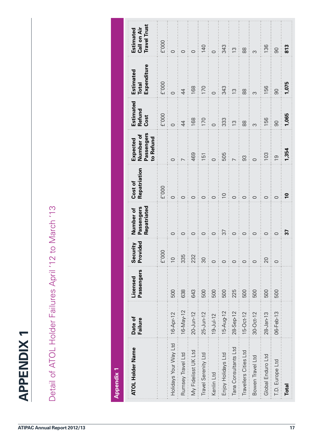<span id="page-21-0"></span>

| <b>Appendix 1</b>     |                                     |                        |                                                                                                                                                                                                                                                                                                                                                                                                                              |                                        |                         |                                                  |                                  |                                          |                                                 |
|-----------------------|-------------------------------------|------------------------|------------------------------------------------------------------------------------------------------------------------------------------------------------------------------------------------------------------------------------------------------------------------------------------------------------------------------------------------------------------------------------------------------------------------------|----------------------------------------|-------------------------|--------------------------------------------------|----------------------------------|------------------------------------------|-------------------------------------------------|
| ATOL Holder Name      | Date of<br>Failure                  | Passengers<br>Licensed | Security<br>Provided                                                                                                                                                                                                                                                                                                                                                                                                         | Repatriated<br>Passengers<br>Number of | Repatriation<br>Cost of | Passengers<br>Number of<br>to Refund<br>Expected | Estimated<br>Refund<br>Cost      | Expenditure<br>Estimated<br><b>Total</b> | <b>Travel Trust</b><br>Call on Air<br>Estimated |
|                       |                                     |                        | E'000                                                                                                                                                                                                                                                                                                                                                                                                                        |                                        | E'000                   |                                                  | E'000                            | E'000                                    | E'000                                           |
| Holidays Your Way Ltd | 16-Apr-12                           | 500                    | $\overline{C}$                                                                                                                                                                                                                                                                                                                                                                                                               | $\circ$ :                              | $\circ$                 | $\circ$ :                                        | $\circ$                          | $\circ$                                  | $\circ$                                         |
| Rumsey Travel Ltd     | $16\text{-}\mathsf{May-12}\ \ldots$ | 638                    | 335                                                                                                                                                                                                                                                                                                                                                                                                                          | $\circ$                                | $\circ$                 |                                                  | $\overline{4}$                   | $\overline{4}$                           | $\circ$                                         |
| My Fidelisst UK Ltd   | $20 - Jun - 12$                     | 643                    | $\begin{array}{c} \frac{1}{2} & \frac{1}{2} \\ \frac{1}{2} & \frac{1}{2} \\ \frac{1}{2} & \frac{1}{2} \\ \frac{1}{2} & \frac{1}{2} \\ \frac{1}{2} & \frac{1}{2} \\ \frac{1}{2} & \frac{1}{2} \\ \frac{1}{2} & \frac{1}{2} \\ \frac{1}{2} & \frac{1}{2} \\ \frac{1}{2} & \frac{1}{2} \\ \frac{1}{2} & \frac{1}{2} \\ \frac{1}{2} & \frac{1}{2} \\ \frac{1}{2} & \frac{1}{2} \\ \frac{1}{2} & \frac{1}{2} \\ \frac{1}{$<br>232 | ÷<br>$\circ$                           | $\circ$                 | 469<br>$\frac{1}{1}$                             | 168                              | 168                                      | $\circ$                                         |
| Travel Serenity Ltd   | $25 - Jun-12$                       | 500                    | $\infty$<br>$\frac{1}{2}$                                                                                                                                                                                                                                                                                                                                                                                                    | ÷<br>$\circ$<br>÷                      | $\circ$                 | 151                                              | 170                              | 170<br>$\frac{1}{1}$                     | 140                                             |
| Kenlin Ltd            | $19 - J ul-12$                      | 500                    | $\circ$<br>÷                                                                                                                                                                                                                                                                                                                                                                                                                 | $\circ$                                | Ť<br>$\circ$            | $\frac{1}{1}$<br>$\circ$                         | $\circ$                          | $\circ$                                  | $\circ$                                         |
| Enjoy Holidays Ltd    | $15-Aug-12$                         | 500                    | $\begin{array}{c} \bullet & \bullet \\ \bullet & \bullet \\ \bullet & \bullet \end{array}$<br>$\circ$                                                                                                                                                                                                                                                                                                                        | $\frac{1}{3}$<br>÷                     | $\overline{C}$          | 505                                              | 333<br>$\frac{1}{2}$<br>$\vdots$ | 343                                      | $343$<br>13<br>$\frac{1}{2}$                    |
| Tana Consultants Ltd  | $28 - Sep - 12$                     | 225                    | $\circ$                                                                                                                                                                                                                                                                                                                                                                                                                      | $\circ$                                | $\circ$                 | $\overline{C}$                                   | $\frac{1}{2}$                    | $\frac{1}{2}$                            |                                                 |
| Travellers Cities Ltd | 15-Oct-12                           | 500                    | $\circ$<br>ŧ                                                                                                                                                                                                                                                                                                                                                                                                                 | ÷<br>$\circ$                           | Ť<br>$\circ$            | 8                                                | 88                               | $88$                                     | $88$                                            |
| Bowen Travel Ltd      | 30-Oct-12                           | 500                    | $\circ$                                                                                                                                                                                                                                                                                                                                                                                                                      | $\vdots$ $\circ$                       | $\circ$                 | ŧ<br>$\circ$                                     | $\infty$                         | $\infty$                                 | $\frac{1}{1}$<br>$\infty$                       |
| Global Enduro Ltd     | $28 - Jan - 13$                     | 500                    | $\begin{array}{c}\n\vdots \\ \vdots \\ \vdots \\ \vdots\n\end{array}$<br>20<br>ŧ                                                                                                                                                                                                                                                                                                                                             | $\circ$                                | $\circ$                 | 103                                              | 156                              | 156                                      | 136                                             |
| T.D. Europe Ltd       | 06-Feb-13                           | 500                    | $\circ$                                                                                                                                                                                                                                                                                                                                                                                                                      | $\circ$                                | $\circ$                 | $\overline{0}$                                   | $\infty$                         | $\infty$                                 | 90                                              |
| <b>Total</b>          |                                     |                        |                                                                                                                                                                                                                                                                                                                                                                                                                              | <u>r</u>                               |                         | 1,354                                            | 1,065                            | 1,075                                    | 813                                             |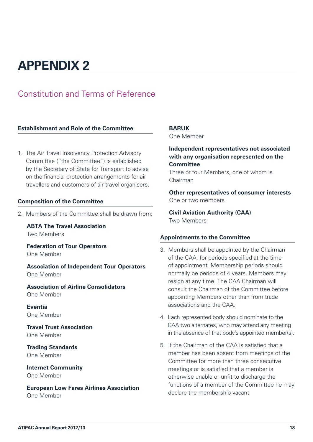### <span id="page-22-0"></span>**APPENDIX 2**

### Constitution and Terms of Reference

#### **Establishment and Role of the Committee**

1. The Air Travel Insolvency Protection Advisory Committee ("the Committee") is established by the Secretary of State for Transport to advise on the financial protection arrangements for air travellers and customers of air travel organisers.

#### **Composition of the Committee**

2. Members of the Committee shall be drawn from:

**ABTA The Travel Association** Two Members

**Federation of Tour Operators** One Member

**Association of Independent Tour Operators** One Member

**Association of Airline Consolidators** One Member

**Eventia** One Member

**Travel Trust Association** One Member

**Trading Standards** One Member

**Internet Community** One Member

**European Low Fares Airlines Association** One Member

#### **BARUK**

One Member

#### **Independent representatives not associated with any organisation represented on the Committee**

Three or four Members, one of whom is Chairman

**Other representatives of consumer interests** One or two members

**Civil Aviation Authority (CAA)** Two Members

#### **Appointments to the Committee**

- 3. Members shall be appointed by the Chairman of the CAA, for periods specified at the time of appointment. Membership periods should normally be periods of 4 years. Members may resign at any time. The CAA Chairman will consult the Chairman of the Committee before appointing Members other than from trade associations and the CAA.
- 4. Each represented body should nominate to the CAA two alternates, who may attend any meeting in the absence of that body's appointed member(s).
- 5. If the Chairman of the CAA is satisfied that a member has been absent from meetings of the Committee for more than three consecutive meetings or is satisfied that a member is otherwise unable or unfit to discharge the functions of a member of the Committee he may declare the membership vacant.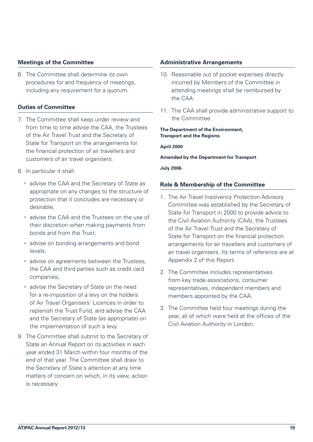#### **Meetings of the Committee**

6. The Committee shall determine its own procedures for and frequency of meetings, including any requirement for a quorum.

#### **Duties of Committee**

- 7. The Committee shall keep under review and from time to time advise the CAA, the Trustees of the Air Travel Trust and the Secretary of State for Transport on the arrangements for the financial protection of air travellers and customers of air travel organisers.
- 8. In particular it shall:
	- advise the CAA and the Secretary of State as appropriate on any changes to the structure of protection that it concludes are necessary or desirable;
	- **advise the CAA and the Trustees on the use of** their discretion when making payments from bonds and from the Trust;
	- **a** advise on bonding arrangements and bond levels;
	- **advise on agreements between the Trustees,** the CAA and third parties such as credit card companies;
	- advise the Secretary of State on the need for a re-imposition of a levy on the holders of Air Travel Organisers' Licences in order to replenish the Trust Fund, and advise the CAA and the Secretary of State (as appropriate) on the implementation of such a levy.
- 9. The Committee shall submit to the Secretary of State an Annual Report on its activities in each year ended 31 March within four months of the end of that year. The Committee shall draw to the Secretary of State's attention at any time matters of concern on which, in its view, action is necessary.

#### **Administrative Arrangements**

- 10. Reasonable out of pocket expenses directly incurred by Members of the Committee in attending meetings shall be reimbursed by the CAA.
- 11. The CAA shall provide administrative support to the Committee.

#### **The Department of the Environment, Transport and the Regions**

**April 2000**

#### **Amended by the Department for Transport**

**July 2006**

#### **Role & Membership of the Committee**

- 1. The Air Travel Insolvency Protection Advisory Committee was established by the Secretary of State for Transport in 2000 to provide advice to the Civil Aviation Authority (CAA), the Trustees of the Air Travel Trust and the Secretary of State for Transport on the financial protection arrangements for air travellers and customers of air travel organisers. Its terms of reference are at Appendix 2 of this Report.
- 2. The Committee includes representatives from key trade associations, consumer representatives, independent members and members appointed by the CAA.
- 3. The Committee held four meetings during the year, all of which were held at the offices of the Civil Aviation Authority in London.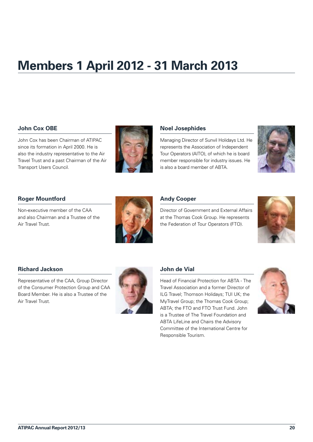## <span id="page-24-0"></span>**Members 1 April 2012 - 31 March 2013**

#### **John Cox OBE**

John Cox has been Chairman of ATIPAC since its formation in April 2000. He is also the industry representative to the Air Travel Trust and a past Chairman of the Air Transport Users Council.



#### **Noel Josephides**

Managing Director of Sunvil Holidays Ltd. He represents the Association of Independent Tour Operators (AITO), of which he is board member responsible for industry issues. He is also a board member of ABTA.



#### **Roger Mountford**

Non-executive member of the CAA and also Chairman and a Trustee of the Air Travel Trust.



#### **Andy Cooper**

Director of Government and External Affairs at the Thomas Cook Group. He represents the Federation of Tour Operators (FTO).



#### **Richard Jackson**

Representative of the CAA, Group Director of the Consumer Protection Group and CAA Board Member. He is also a Trustee of the Air Travel Trust.



#### **John de Vial**

Head of Financial Protection for ABTA - The Travel Association and a former Director of ILG Travel; Thomson Holidays; TUI UK; the MyTravel Group; the Thomas Cook Group; ABTA; the FTO and FTO Trust Fund. John is a Trustee of The Travel Foundation and ABTA LifeLine and Chairs the Advisory Committee of the International Centre for Responsible Tourism.

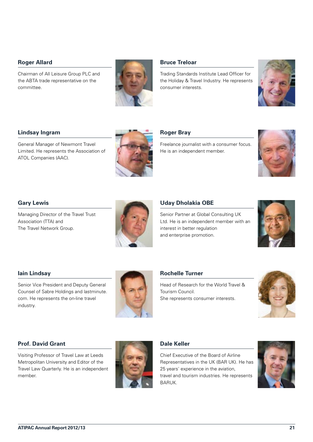#### **Roger Allard**

Chairman of All Leisure Group PLC and the ABTA trade representative on the committee.



#### **Bruce Treloar**

Trading Standards Institute Lead Officer for the Holiday & Travel Industry. He represents consumer interests.



#### **Lindsay Ingram**

General Manager of Newmont Travel Limited. He represents the Association of ATOL Companies (AAC).



#### **Roger Bray**

Freelance journalist with a consumer focus. He is an independent member.



#### **Gary Lewis**

Managing Director of the Travel Trust Association (TTA) and The Travel Network Group.



#### **Uday Dholakia OBE**

Senior Partner at Global Consulting UK Ltd. He is an independent member with an interest in better regulation and enterprise promotion.



#### **Iain Lindsay**

Senior Vice President and Deputy General Counsel of Sabre Holdings and lastminute. com. He represents the on-line travel industry.



#### **Rochelle Turner**

Head of Research for the World Travel & Tourism Council. She represents consumer interests.



#### **Prof. David Grant**

Visiting Professor of Travel Law at Leeds Metropolitan University and Editor of the Travel Law Quarterly. He is an independent member.



#### **Dale Keller**

Chief Executive of the Board of Airline Representatives in the UK (BAR UK). He has 25 years' experience in the aviation, travel and tourism industries. He represents BARUK.